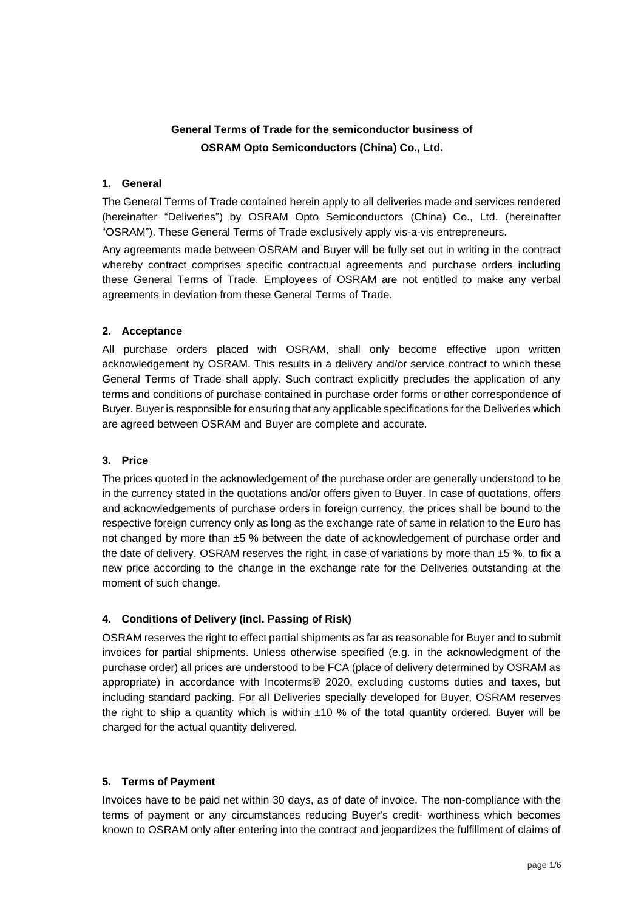# **General Terms of Trade for the semiconductor business of OSRAM Opto Semiconductors (China) Co., Ltd.**

### **1. General**

The General Terms of Trade contained herein apply to all deliveries made and services rendered (hereinafter "Deliveries") by OSRAM Opto Semiconductors (China) Co., Ltd. (hereinafter "OSRAM"). These General Terms of Trade exclusively apply vis-a-vis entrepreneurs.

Any agreements made between OSRAM and Buyer will be fully set out in writing in the contract whereby contract comprises specific contractual agreements and purchase orders including these General Terms of Trade. Employees of OSRAM are not entitled to make any verbal agreements in deviation from these General Terms of Trade.

### **2. Acceptance**

All purchase orders placed with OSRAM, shall only become effective upon written acknowledgement by OSRAM. This results in a delivery and/or service contract to which these General Terms of Trade shall apply. Such contract explicitly precludes the application of any terms and conditions of purchase contained in purchase order forms or other correspondence of Buyer. Buyer is responsible for ensuring that any applicable specifications for the Deliveries which are agreed between OSRAM and Buyer are complete and accurate.

### **3. Price**

The prices quoted in the acknowledgement of the purchase order are generally understood to be in the currency stated in the quotations and/or offers given to Buyer. In case of quotations, offers and acknowledgements of purchase orders in foreign currency, the prices shall be bound to the respective foreign currency only as long as the exchange rate of same in relation to the Euro has not changed by more than ±5 % between the date of acknowledgement of purchase order and the date of delivery. OSRAM reserves the right, in case of variations by more than  $±5$  %, to fix a new price according to the change in the exchange rate for the Deliveries outstanding at the moment of such change.

# **4. Conditions of Delivery (incl. Passing of Risk)**

OSRAM reserves the right to effect partial shipments as far as reasonable for Buyer and to submit invoices for partial shipments. Unless otherwise specified (e.g. in the acknowledgment of the purchase order) all prices are understood to be FCA (place of delivery determined by OSRAM as appropriate) in accordance with Incoterms® 2020, excluding customs duties and taxes, but including standard packing. For all Deliveries specially developed for Buyer, OSRAM reserves the right to ship a quantity which is within  $\pm 10$  % of the total quantity ordered. Buyer will be charged for the actual quantity delivered.

# **5. Terms of Payment**

Invoices have to be paid net within 30 days, as of date of invoice. The non-compliance with the terms of payment or any circumstances reducing Buyer's credit- worthiness which becomes known to OSRAM only after entering into the contract and jeopardizes the fulfillment of claims of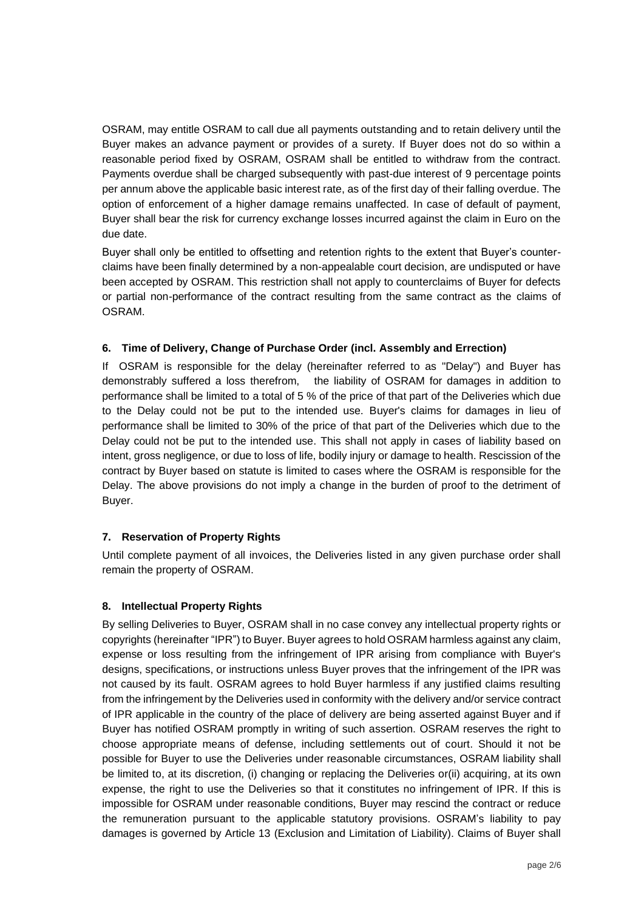OSRAM, may entitle OSRAM to call due all payments outstanding and to retain delivery until the Buyer makes an advance payment or provides of a surety. If Buyer does not do so within a reasonable period fixed by OSRAM, OSRAM shall be entitled to withdraw from the contract. Payments overdue shall be charged subsequently with past-due interest of 9 percentage points per annum above the applicable basic interest rate, as of the first day of their falling overdue. The option of enforcement of a higher damage remains unaffected. In case of default of payment, Buyer shall bear the risk for currency exchange losses incurred against the claim in Euro on the due date.

Buyer shall only be entitled to offsetting and retention rights to the extent that Buyer's counterclaims have been finally determined by a non-appealable court decision, are undisputed or have been accepted by OSRAM. This restriction shall not apply to counterclaims of Buyer for defects or partial non-performance of the contract resulting from the same contract as the claims of OSRAM.

### **6. Time of Delivery, Change of Purchase Order (incl. Assembly and Errection)**

If OSRAM is responsible for the delay (hereinafter referred to as "Delay") and Buyer has demonstrably suffered a loss therefrom, the liability of OSRAM for damages in addition to performance shall be limited to a total of 5 % of the price of that part of the Deliveries which due to the Delay could not be put to the intended use. Buyer's claims for damages in lieu of performance shall be limited to 30% of the price of that part of the Deliveries which due to the Delay could not be put to the intended use. This shall not apply in cases of liability based on intent, gross negligence, or due to loss of life, bodily injury or damage to health. Rescission of the contract by Buyer based on statute is limited to cases where the OSRAM is responsible for the Delay. The above provisions do not imply a change in the burden of proof to the detriment of Buyer.

#### **7. Reservation of Property Rights**

Until complete payment of all invoices, the Deliveries listed in any given purchase order shall remain the property of OSRAM.

#### **8. Intellectual Property Rights**

By selling Deliveries to Buyer, OSRAM shall in no case convey any intellectual property rights or copyrights (hereinafter "IPR") to Buyer. Buyer agrees to hold OSRAM harmless against any claim, expense or loss resulting from the infringement of IPR arising from compliance with Buyer's designs, specifications, or instructions unless Buyer proves that the infringement of the IPR was not caused by its fault. OSRAM agrees to hold Buyer harmless if any justified claims resulting from the infringement by the Deliveries used in conformity with the delivery and/or service contract of IPR applicable in the country of the place of delivery are being asserted against Buyer and if Buyer has notified OSRAM promptly in writing of such assertion. OSRAM reserves the right to choose appropriate means of defense, including settlements out of court. Should it not be possible for Buyer to use the Deliveries under reasonable circumstances, OSRAM liability shall be limited to, at its discretion, (i) changing or replacing the Deliveries or(ii) acquiring, at its own expense, the right to use the Deliveries so that it constitutes no infringement of IPR. If this is impossible for OSRAM under reasonable conditions, Buyer may rescind the contract or reduce the remuneration pursuant to the applicable statutory provisions. OSRAM's liability to pay damages is governed by Article 13 (Exclusion and Limitation of Liability). Claims of Buyer shall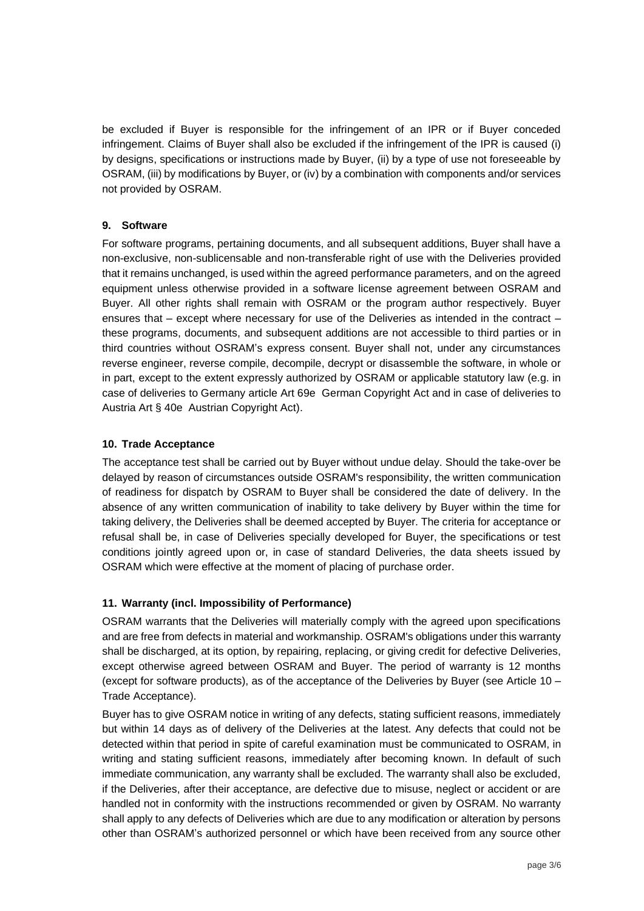be excluded if Buyer is responsible for the infringement of an IPR or if Buyer conceded infringement. Claims of Buyer shall also be excluded if the infringement of the IPR is caused (i) by designs, specifications or instructions made by Buyer, (ii) by a type of use not foreseeable by OSRAM, (iii) by modifications by Buyer, or (iv) by a combination with components and/or services not provided by OSRAM.

### **9. Software**

For software programs, pertaining documents, and all subsequent additions, Buyer shall have a non-exclusive, non-sublicensable and non-transferable right of use with the Deliveries provided that it remains unchanged, is used within the agreed performance parameters, and on the agreed equipment unless otherwise provided in a software license agreement between OSRAM and Buyer. All other rights shall remain with OSRAM or the program author respectively. Buyer ensures that – except where necessary for use of the Deliveries as intended in the contract – these programs, documents, and subsequent additions are not accessible to third parties or in third countries without OSRAM's express consent. Buyer shall not, under any circumstances reverse engineer, reverse compile, decompile, decrypt or disassemble the software, in whole or in part, except to the extent expressly authorized by OSRAM or applicable statutory law (e.g. in case of deliveries to Germany article Art 69e German Copyright Act and in case of deliveries to Austria Art § 40e Austrian Copyright Act).

### **10. Trade Acceptance**

The acceptance test shall be carried out by Buyer without undue delay. Should the take-over be delayed by reason of circumstances outside OSRAM's responsibility, the written communication of readiness for dispatch by OSRAM to Buyer shall be considered the date of delivery. In the absence of any written communication of inability to take delivery by Buyer within the time for taking delivery, the Deliveries shall be deemed accepted by Buyer. The criteria for acceptance or refusal shall be, in case of Deliveries specially developed for Buyer, the specifications or test conditions jointly agreed upon or, in case of standard Deliveries, the data sheets issued by OSRAM which were effective at the moment of placing of purchase order.

# **11. Warranty (incl. Impossibility of Performance)**

OSRAM warrants that the Deliveries will materially comply with the agreed upon specifications and are free from defects in material and workmanship. OSRAM's obligations under this warranty shall be discharged, at its option, by repairing, replacing, or giving credit for defective Deliveries, except otherwise agreed between OSRAM and Buyer. The period of warranty is 12 months (except for software products), as of the acceptance of the Deliveries by Buyer (see Article 10 – Trade Acceptance).

Buyer has to give OSRAM notice in writing of any defects, stating sufficient reasons, immediately but within 14 days as of delivery of the Deliveries at the latest. Any defects that could not be detected within that period in spite of careful examination must be communicated to OSRAM, in writing and stating sufficient reasons, immediately after becoming known. In default of such immediate communication, any warranty shall be excluded. The warranty shall also be excluded, if the Deliveries, after their acceptance, are defective due to misuse, neglect or accident or are handled not in conformity with the instructions recommended or given by OSRAM. No warranty shall apply to any defects of Deliveries which are due to any modification or alteration by persons other than OSRAM's authorized personnel or which have been received from any source other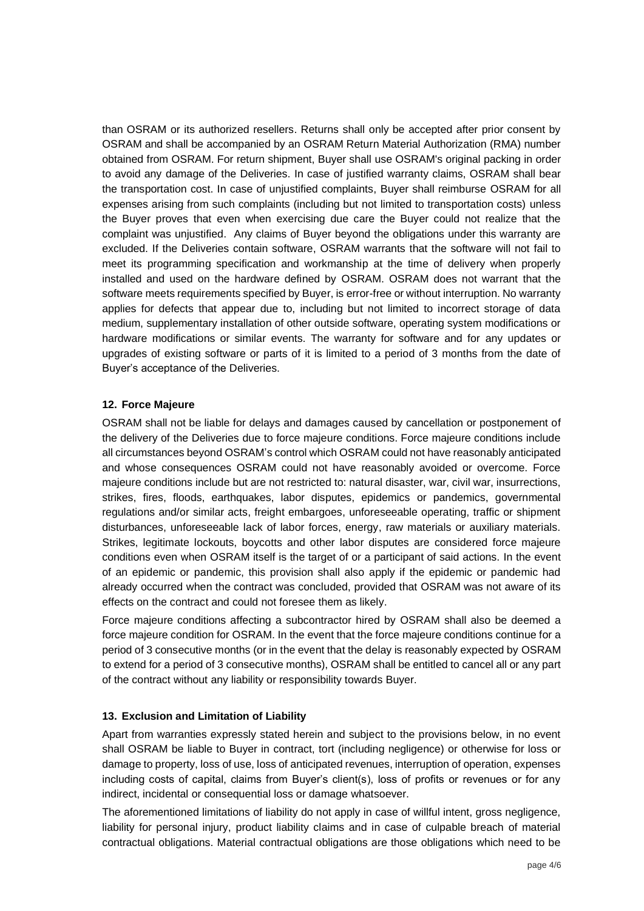than OSRAM or its authorized resellers. Returns shall only be accepted after prior consent by OSRAM and shall be accompanied by an OSRAM Return Material Authorization (RMA) number obtained from OSRAM. For return shipment, Buyer shall use OSRAM's original packing in order to avoid any damage of the Deliveries. In case of justified warranty claims, OSRAM shall bear the transportation cost. In case of unjustified complaints, Buyer shall reimburse OSRAM for all expenses arising from such complaints (including but not limited to transportation costs) unless the Buyer proves that even when exercising due care the Buyer could not realize that the complaint was unjustified. Any claims of Buyer beyond the obligations under this warranty are excluded. If the Deliveries contain software, OSRAM warrants that the software will not fail to meet its programming specification and workmanship at the time of delivery when properly installed and used on the hardware defined by OSRAM. OSRAM does not warrant that the software meets requirements specified by Buyer, is error-free or without interruption. No warranty applies for defects that appear due to, including but not limited to incorrect storage of data medium, supplementary installation of other outside software, operating system modifications or hardware modifications or similar events. The warranty for software and for any updates or upgrades of existing software or parts of it is limited to a period of 3 months from the date of Buyer's acceptance of the Deliveries.

### **12. Force Majeure**

OSRAM shall not be liable for delays and damages caused by cancellation or postponement of the delivery of the Deliveries due to force majeure conditions. Force majeure conditions include all circumstances beyond OSRAM's control which OSRAM could not have reasonably anticipated and whose consequences OSRAM could not have reasonably avoided or overcome. Force majeure conditions include but are not restricted to: natural disaster, war, civil war, insurrections, strikes, fires, floods, earthquakes, labor disputes, epidemics or pandemics, governmental regulations and/or similar acts, freight embargoes, unforeseeable operating, traffic or shipment disturbances, unforeseeable lack of labor forces, energy, raw materials or auxiliary materials. Strikes, legitimate lockouts, boycotts and other labor disputes are considered force majeure conditions even when OSRAM itself is the target of or a participant of said actions. In the event of an epidemic or pandemic, this provision shall also apply if the epidemic or pandemic had already occurred when the contract was concluded, provided that OSRAM was not aware of its effects on the contract and could not foresee them as likely.

Force majeure conditions affecting a subcontractor hired by OSRAM shall also be deemed a force majeure condition for OSRAM. In the event that the force majeure conditions continue for a period of 3 consecutive months (or in the event that the delay is reasonably expected by OSRAM to extend for a period of 3 consecutive months), OSRAM shall be entitled to cancel all or any part of the contract without any liability or responsibility towards Buyer.

#### **13. Exclusion and Limitation of Liability**

Apart from warranties expressly stated herein and subject to the provisions below, in no event shall OSRAM be liable to Buyer in contract, tort (including negligence) or otherwise for loss or damage to property, loss of use, loss of anticipated revenues, interruption of operation, expenses including costs of capital, claims from Buyer's client(s), loss of profits or revenues or for any indirect, incidental or consequential loss or damage whatsoever.

The aforementioned limitations of liability do not apply in case of willful intent, gross negligence, liability for personal injury, product liability claims and in case of culpable breach of material contractual obligations. Material contractual obligations are those obligations which need to be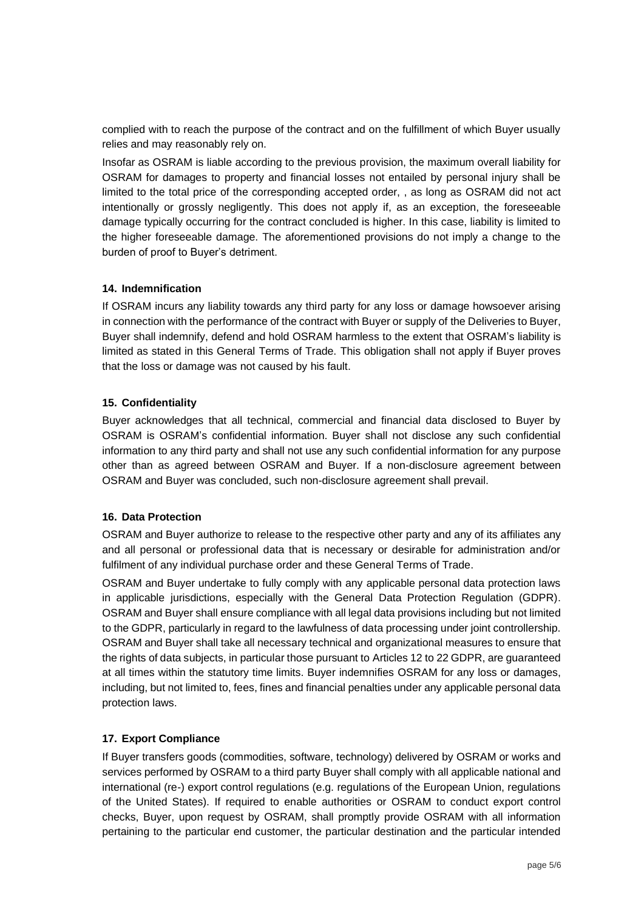complied with to reach the purpose of the contract and on the fulfillment of which Buyer usually relies and may reasonably rely on.

Insofar as OSRAM is liable according to the previous provision, the maximum overall liability for OSRAM for damages to property and financial losses not entailed by personal injury shall be limited to the total price of the corresponding accepted order, , as long as OSRAM did not act intentionally or grossly negligently. This does not apply if, as an exception, the foreseeable damage typically occurring for the contract concluded is higher. In this case, liability is limited to the higher foreseeable damage. The aforementioned provisions do not imply a change to the burden of proof to Buyer's detriment.

#### **14. Indemnification**

If OSRAM incurs any liability towards any third party for any loss or damage howsoever arising in connection with the performance of the contract with Buyer or supply of the Deliveries to Buyer, Buyer shall indemnify, defend and hold OSRAM harmless to the extent that OSRAM's liability is limited as stated in this General Terms of Trade. This obligation shall not apply if Buyer proves that the loss or damage was not caused by his fault.

#### **15. Confidentiality**

Buyer acknowledges that all technical, commercial and financial data disclosed to Buyer by OSRAM is OSRAM's confidential information. Buyer shall not disclose any such confidential information to any third party and shall not use any such confidential information for any purpose other than as agreed between OSRAM and Buyer. If a non-disclosure agreement between OSRAM and Buyer was concluded, such non-disclosure agreement shall prevail.

#### **16. Data Protection**

OSRAM and Buyer authorize to release to the respective other party and any of its affiliates any and all personal or professional data that is necessary or desirable for administration and/or fulfilment of any individual purchase order and these General Terms of Trade.

OSRAM and Buyer undertake to fully comply with any applicable personal data protection laws in applicable jurisdictions, especially with the General Data Protection Regulation (GDPR). OSRAM and Buyer shall ensure compliance with all legal data provisions including but not limited to the GDPR, particularly in regard to the lawfulness of data processing under joint controllership. OSRAM and Buyer shall take all necessary technical and organizational measures to ensure that the rights of data subjects, in particular those pursuant to Articles 12 to 22 GDPR, are guaranteed at all times within the statutory time limits. Buyer indemnifies OSRAM for any loss or damages, including, but not limited to, fees, fines and financial penalties under any applicable personal data protection laws.

#### **17. Export Compliance**

If Buyer transfers goods (commodities, software, technology) delivered by OSRAM or works and services performed by OSRAM to a third party Buyer shall comply with all applicable national and international (re-) export control regulations (e.g. regulations of the European Union, regulations of the United States). If required to enable authorities or OSRAM to conduct export control checks, Buyer, upon request by OSRAM, shall promptly provide OSRAM with all information pertaining to the particular end customer, the particular destination and the particular intended